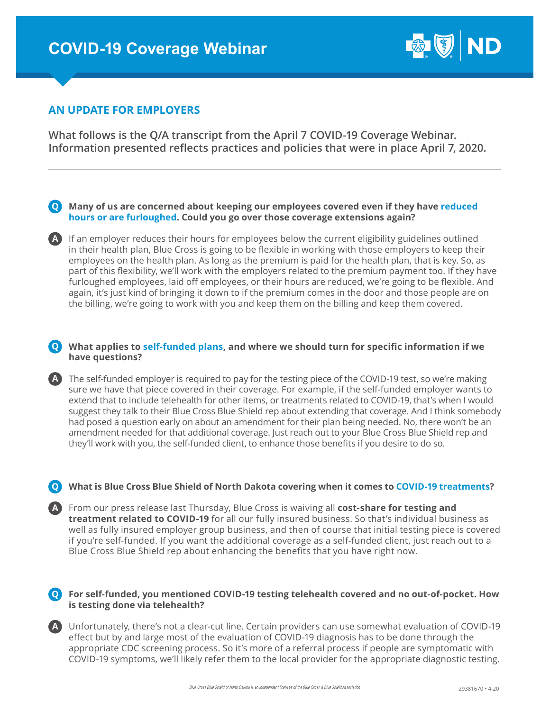

# **AN UPDATE FOR EMPLOYERS**

**What follows is the Q/A transcript from the April 7 COVID-19 Coverage Webinar. Information presented reflects practices and policies that were in place April 7, 2020.**

# **Many of us are concerned about keeping our employees covered even if they have reduced Q hours or are furloughed. Could you go over those coverage extensions again?**

A If an employer reduces their hours for employees below the current eligibility guidelines outlined in their health plan, Blue Cross is going to be flexible in working with those employers to keep their employees on the health plan. As long as the premium is paid for the health plan, that is key. So, as part of this flexibility, we'll work with the employers related to the premium payment too. If they have furloughed employees, laid off employees, or their hours are reduced, we're going to be flexible. And again, it's just kind of bringing it down to if the premium comes in the door and those people are on the billing, we're going to work with you and keep them on the billing and keep them covered.

# **What applies to self-funded plans, and where we should turn for specific information if we Q have questions?**

The self-funded employer is required to pay for the testing piece of the COVID-19 test, so we're making **A** sure we have that piece covered in their coverage. For example, if the self-funded employer wants to extend that to include telehealth for other items, or treatments related to COVID-19, that's when I would suggest they talk to their Blue Cross Blue Shield rep about extending that coverage. And I think somebody had posed a question early on about an amendment for their plan being needed. No, there won't be an amendment needed for that additional coverage. Just reach out to your Blue Cross Blue Shield rep and they'll work with you, the self-funded client, to enhance those benefits if you desire to do so.

# **What is Blue Cross Blue Shield of North Dakota covering when it comes to COVID-19 treatments? Q**

From our press release last Thursday, Blue Cross is waiving all **cost-share for testing and A treatment related to COVID-19** for all our fully insured business. So that's individual business as well as fully insured employer group business, and then of course that initial testing piece is covered if you're self-funded. If you want the additional coverage as a self-funded client, just reach out to a Blue Cross Blue Shield rep about enhancing the benefits that you have right now.

# **For self-funded, you mentioned COVID-19 testing telehealth covered and no out-of-pocket. How Q is testing done via telehealth?**

Unfortunately, there's not a clear-cut line. Certain providers can use somewhat evaluation of COVID-19 **A** effect but by and large most of the evaluation of COVID-19 diagnosis has to be done through the appropriate CDC screening process. So it's more of a referral process if people are symptomatic with COVID-19 symptoms, we'll likely refer them to the local provider for the appropriate diagnostic testing.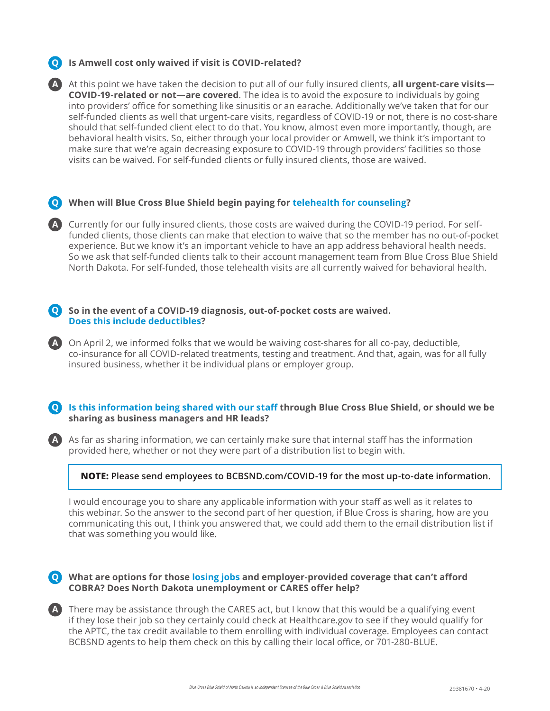# **Is Amwell cost only waived if visit is COVID-related? Q**



### **When will Blue Cross Blue Shield begin paying for telehealth for counseling? Q**

Currently for our fully insured clients, those costs are waived during the COVID-19 period. For self-**A** funded clients, those clients can make that election to waive that so the member has no out-of-pocket experience. But we know it's an important vehicle to have an app address behavioral health needs. So we ask that self-funded clients talk to their account management team from Blue Cross Blue Shield North Dakota. For self-funded, those telehealth visits are all currently waived for behavioral health.

### **So in the event of a COVID-19 diagnosis, out-of-pocket costs are waived. Q Does this include deductibles?**

On April 2, we informed folks that we would be waiving cost-shares for all co-pay, deductible, **A** co-insurance for all COVID-related treatments, testing and treatment. And that, again, was for all fully insured business, whether it be individual plans or employer group.

### **Is this information being shared with our staff through Blue Cross Blue Shield, or should we be Q sharing as business managers and HR leads?**

A As far as sharing information, we can certainly make sure that internal staff has the information provided here, whether or not they were part of a distribution list to begin with.

#### **NOTE: Please send employees to BCBSND.com/COVID-19 for the most up-to-date information.**

I would encourage you to share any applicable information with your staff as well as it relates to this webinar. So the answer to the second part of her question, if Blue Cross is sharing, how are you communicating this out, I think you answered that, we could add them to the email distribution list if that was something you would like.

#### **What are options for those losing jobs and employer-provided coverage that can't afford Q COBRA? Does North Dakota unemployment or CARES offer help?**

There may be assistance through the CARES act, but I know that this would be a qualifying event **A** if they lose their job so they certainly could check at Healthcare.gov to see if they would qualify for the APTC, the tax credit available to them enrolling with individual coverage. Employees can contact BCBSND agents to help them check on this by calling their local office, or 701-280-BLUE.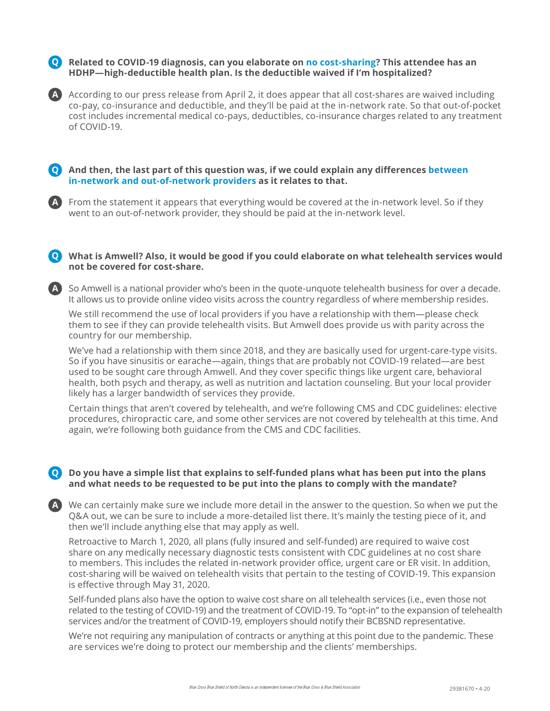**Related to COVID-19 diagnosis, can you elaborate on no cost-sharing? This attendee has an Q HDHP—high-deductible health plan. Is the deductible waived if I'm hospitalized?**

A According to our press release from April 2, it does appear that all cost-shares are waived including co-pay, co-insurance and deductible, and they'll be paid at the in-network rate. So that out-of-pocket cost includes incremental medical co-pays, deductibles, co-insurance charges related to any treatment of COVID-19.

### **And then, the last part of this question was, if we could explain any differences between Q in-network and out-of-network providers as it relates to that.**

From the statement it appears that everything would be covered at the in-network level. So if they **A** went to an out-of-network provider, they should be paid at the in-network level.

#### **What is Amwell? Also, it would be good if you could elaborate on what telehealth services would Q not be covered for cost-share.**

So Amwell is a national provider who's been in the quote-unquote telehealth business for over a decade. **A** It allows us to provide online video visits across the country regardless of where membership resides.

We still recommend the use of local providers if you have a relationship with them—please check them to see if they can provide telehealth visits. But Amwell does provide us with parity across the country for our membership.

We've had a relationship with them since 2018, and they are basically used for urgent-care-type visits. So if you have sinusitis or earache—again, things that are probably not COVID-19 related—are best used to be sought care through Amwell. And they cover specific things like urgent care, behavioral health, both psych and therapy, as well as nutrition and lactation counseling. But your local provider likely has a larger bandwidth of services they provide.

Certain things that aren't covered by telehealth, and we're following CMS and CDC guidelines: elective procedures, chiropractic care, and some other services are not covered by telehealth at this time. And again, we're following both guidance from the CMS and CDC facilities.

### **Do you have a simple list that explains to self-funded plans what has been put into the plans Q and what needs to be requested to be put into the plans to comply with the mandate?**

We can certainly make sure we include more detail in the answer to the question. So when we put the **A** Q&A out, we can be sure to include a more-detailed list there. It's mainly the testing piece of it, and then we'll include anything else that may apply as well.

Retroactive to March 1, 2020, all plans (fully insured and self-funded) are required to waive cost share on any medically necessary diagnostic tests consistent with CDC guidelines at no cost share to members. This includes the related in-network provider office, urgent care or ER visit. In addition, cost-sharing will be waived on telehealth visits that pertain to the testing of COVID-19. This expansion is effective through May 31, 2020.

Self-funded plans also have the option to waive cost share on all telehealth services (i.e., even those not related to the testing of COVID-19) and the treatment of COVID-19. To "opt-in" to the expansion of telehealth services and/or the treatment of COVID-19, employers should notify their BCBSND representative.

We're not requiring any manipulation of contracts or anything at this point due to the pandemic. These are services we're doing to protect our membership and the clients' memberships.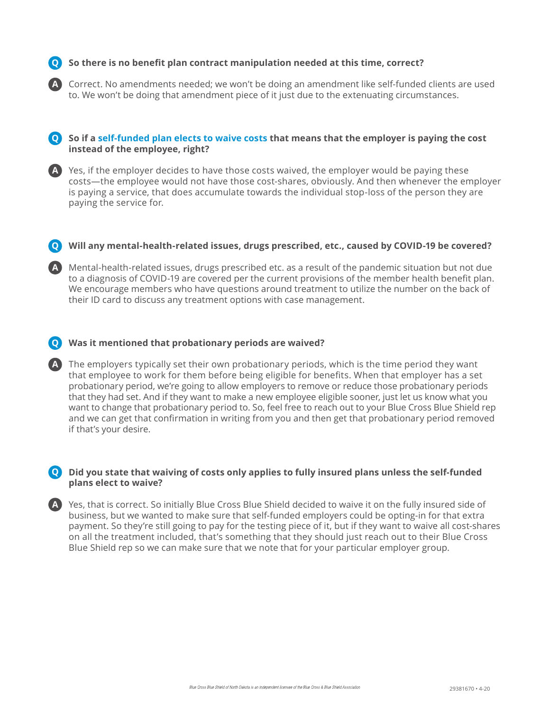# **So there is no benefit plan contract manipulation needed at this time, correct? Q**

Correct. No amendments needed; we won't be doing an amendment like self-funded clients are used to. We won't be doing that amendment piece of it just due to the extenuating circumstances.

#### **So if a self-funded plan elects to waive costs that means that the employer is paying the cost Q instead of the employee, right?**

A Yes, if the employer decides to have those costs waived, the employer would be paying these costs—the employee would not have those cost-shares, obviously. And then whenever the employer is paying a service, that does accumulate towards the individual stop-loss of the person they are paying the service for.

### **Will any mental-health-related issues, drugs prescribed, etc., caused by COVID-19 be covered? Q**

Mental-health-related issues, drugs prescribed etc. as a result of the pandemic situation but not due **A** to a diagnosis of COVID-19 are covered per the current provisions of the member health benefit plan. We encourage members who have questions around treatment to utilize the number on the back of their ID card to discuss any treatment options with case management.

### **Was it mentioned that probationary periods are waived? Q**

**A**

The employers typically set their own probationary periods, which is the time period they want **A** that employee to work for them before being eligible for benefits. When that employer has a set probationary period, we're going to allow employers to remove or reduce those probationary periods that they had set. And if they want to make a new employee eligible sooner, just let us know what you want to change that probationary period to. So, feel free to reach out to your Blue Cross Blue Shield rep and we can get that confirmation in writing from you and then get that probationary period removed if that's your desire.

#### **Did you state that waiving of costs only applies to fully insured plans unless the self-funded Q plans elect to waive?**

Yes, that is correct. So initially Blue Cross Blue Shield decided to waive it on the fully insured side of **A** business, but we wanted to make sure that self-funded employers could be opting-in for that extra payment. So they're still going to pay for the testing piece of it, but if they want to waive all cost-shares on all the treatment included, that's something that they should just reach out to their Blue Cross Blue Shield rep so we can make sure that we note that for your particular employer group.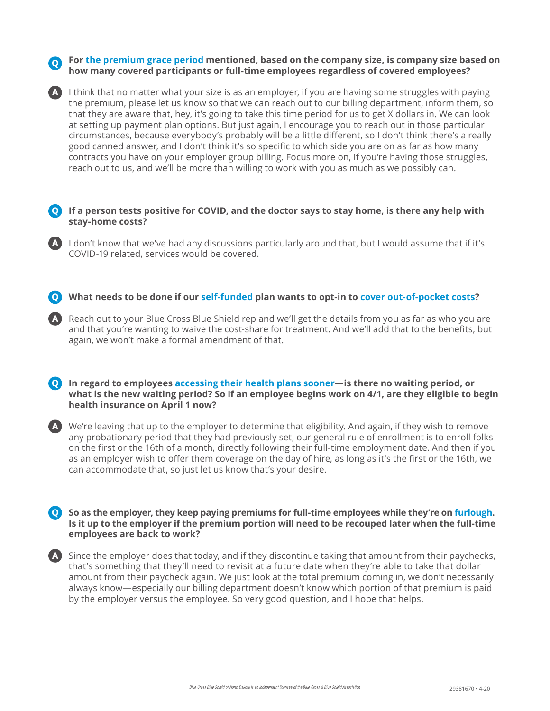**For the premium grace period mentioned, based on the company size, is company size based on Q how many covered participants or full-time employees regardless of covered employees?**

A) I think that no matter what your size is as an employer, if you are having some struggles with paying the premium, please let us know so that we can reach out to our billing department, inform them, so that they are aware that, hey, it's going to take this time period for us to get X dollars in. We can look at setting up payment plan options. But just again, I encourage you to reach out in those particular circumstances, because everybody's probably will be a little different, so I don't think there's a really good canned answer, and I don't think it's so specific to which side you are on as far as how many contracts you have on your employer group billing. Focus more on, if you're having those struggles, reach out to us, and we'll be more than willing to work with you as much as we possibly can.

**If a person tests positive for COVID, and the doctor says to stay home, is there any help with Q stay-home costs?** 

**A** I don't know that we've had any discussions particularly around that, but I would assume that if it's COVID-19 related, services would be covered.

- **What needs to be done if our self-funded plan wants to opt-in to cover out-of-pocket costs? Q**
- Reach out to your Blue Cross Blue Shield rep and we'll get the details from you as far as who you are **A** and that you're wanting to waive the cost-share for treatment. And we'll add that to the benefits, but again, we won't make a formal amendment of that.

**In regard to employees accessing their health plans sooner—is there no waiting period, or Q what is the new waiting period? So if an employee begins work on 4/1, are they eligible to begin health insurance on April 1 now?**

We're leaving that up to the employer to determine that eligibility. And again, if they wish to remove **A** any probationary period that they had previously set, our general rule of enrollment is to enroll folks on the first or the 16th of a month, directly following their full-time employment date. And then if you as an employer wish to offer them coverage on the day of hire, as long as it's the first or the 16th, we can accommodate that, so just let us know that's your desire.

**So as the employer, they keep paying premiums for full-time employees while they're on furlough. Q Is it up to the employer if the premium portion will need to be recouped later when the full-time employees are back to work?**

Since the employer does that today, and if they discontinue taking that amount from their paychecks, **A** that's something that they'll need to revisit at a future date when they're able to take that dollar amount from their paycheck again. We just look at the total premium coming in, we don't necessarily always know—especially our billing department doesn't know which portion of that premium is paid by the employer versus the employee. So very good question, and I hope that helps.